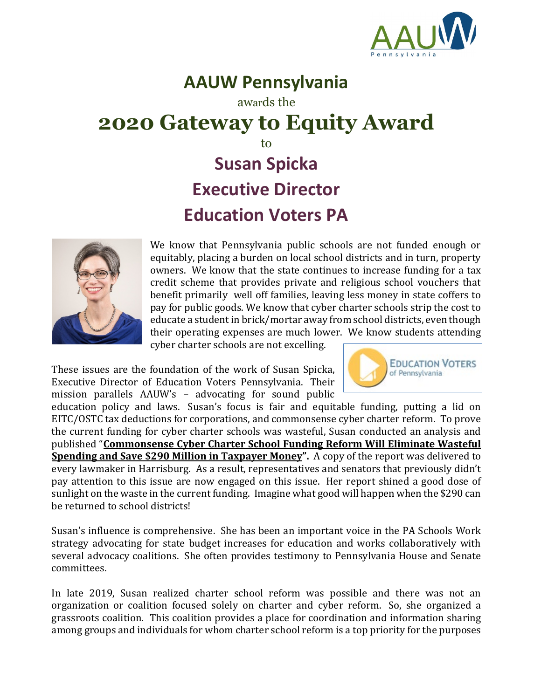

## **AAUW Pennsylvania**

awards the

## **2020 Gateway to Equity Award**

to

## **Susan Spicka Executive Director Education Voters PA**



We know that Pennsylvania public schools are not funded enough or equitably, placing a burden on local school districts and in turn, property owners. We know that the state continues to increase funding for a tax credit scheme that provides private and religious school vouchers that benefit primarily well off families, leaving less money in state coffers to pay for public goods. We know that cyber charter schools strip the cost to educate a student in brick/mortar away from school districts, even though their operating expenses are much lower. We know students attending cyber charter schools are not excelling.

These issues are the foundation of the work of Susan Spicka, Executive Director of Education Voters Pennsylvania. Their mission parallels AAUW's – advocating for sound public



education policy and laws. Susan's focus is fair and equitable funding, putting a lid on EITC/OSTC tax deductions for corporations, and commonsense cyber charter reform. To prove the current funding for cyber charter schools was wasteful, Susan conducted an analysis and published "**[Commonsense Cyber Charter School Funding Reform Will Eliminate Wasteful](http://educationvoterspa.org/report-commonsense-cyber-charter-school-funding-reform/)  [Spending and Save \\$290 Million in Taxpayer Money"](http://educationvoterspa.org/report-commonsense-cyber-charter-school-funding-reform/).** A copy of the report was delivered to every lawmaker in Harrisburg. As a result, representatives and senators that previously didn't pay attention to this issue are now engaged on this issue. Her report shined a good dose of sunlight on the waste in the current funding. Imagine what good will happen when the \$290 can be returned to school districts!

Susan's influence is comprehensive. She has been an important voice in the PA Schools Work strategy advocating for state budget increases for education and works collaboratively with several advocacy coalitions. She often provides testimony to Pennsylvania House and Senate committees.

In late 2019, Susan realized charter school reform was possible and there was not an organization or coalition focused solely on charter and cyber reform. So, she organized a grassroots coalition. This coalition provides a place for coordination and information sharing among groups and individuals for whom charter school reform is a top priority for the purposes